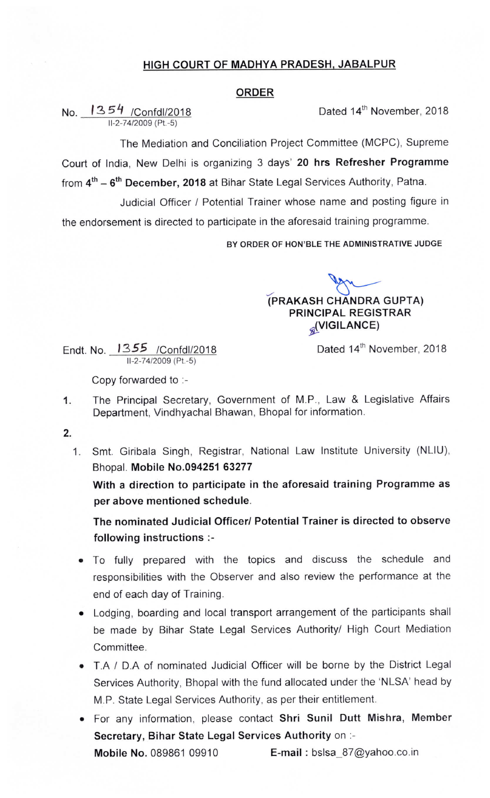## HIGH COURT OF MADHYA PRADESH, JABALPUR

## ORDER

No. <u>1354 /Confdl/2018</u> Conformer, 2018 11-2-74/2009 (Pt.-5)

The Mediation and Conciliation Project Committee (MCPC), Supreme Court of India, New Delhi is organizing 3 days' 20 hrs Refresher Programme from  $4<sup>th</sup> - 6<sup>th</sup>$  December, 2018 at Bihar State Legal Services Authority, Patna.

Judicial Officer / Potential Trainer whose name and posting figure in

the endorsement is directed to participate in the aforesaid training programme.

BY ORDER OF HON'BLE THE ADMINISTRATIVE JUDGE

 $\overline{\phantom{a}}$ (PRAKASH CHANDRA GUPTA) PRINCIPAL REGISTRAR alvlGiLANCE,

Endt. No. 1355 / Confdl/2018 11-2-74/2009 (Pt.-5)

Dated 14<sup>th</sup> November, 2018

Copy forwarded to :-

- 1. The Principal Secretary, Government of M.P., Law & Legislative Affairs Department, Vindhyachal Bhawan, Bhopal for information.
- 2.
	- 1. Smt. Giribala Singh, Registrar, National Law Institute University (NLIU), Bhopal. Mobile No.094251 63277

With a direction to participate in the aforesaid training Programme as per above mentioned schedule.

The nominated Judicial Officer/ Potential Trainer is directed to observe following instructions :-

- To fully prepared with the topics and discuss the schedule and responsibilities with the Observer and also review the performance at the end of each day of Training.
- Lodging, boarding and local transport arrangement of the participants shall be made by Bihar State Legal Services Authority/ High Court Mediation Committee.
- T.A / D.A of nominated Judicial Officer will be borne by the District Legal Services Authority, Bhopal with the fund allocated under the `NLSA' head by M.P. State Legal Services Authority, as per their entitlement.
- For any information, please contact Shri Sunil Dutt Mishra, Member Secretary, Bihar State Legal Services Authority on :-

**Mobile No.** 089861 09910 **E-mail :** bslsa  $87@yahoo.co.in$